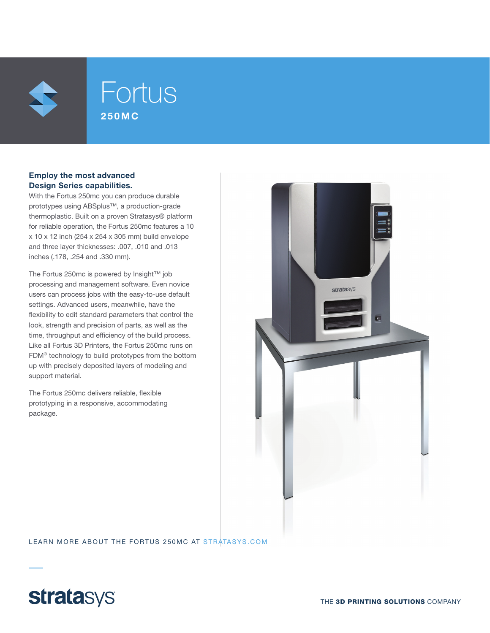

## Fortus 250MC

#### Employ the most advanced Design Series capabilities.

With the Fortus 250mc you can produce durable prototypes using ABSplus™, a production-grade thermoplastic. Built on a proven Stratasys® platform for reliable operation, the Fortus 250mc features a 10 x 10 x 12 inch (254 x 254 x 305 mm) build envelope and three layer thicknesses: .007, .010 and .013 inches (.178, .254 and .330 mm).

The Fortus 250mc is powered by Insight™ job processing and management software. Even novice users can process jobs with the easy-to-use default settings. Advanced users, meanwhile, have the flexibility to edit standard parameters that control the look, strength and precision of parts, as well as the time, throughput and efficiency of the build process. Like all Fortus 3D Printers, the Fortus 250mc runs on FDM® technology to build prototypes from the bottom up with precisely deposited layers of modeling and support material.

The Fortus 250mc delivers reliable, flexible prototyping in a responsive, accommodating package.



LEARN MORE ABOUT THE FORTUS 250MC AT STRATASYS.COM